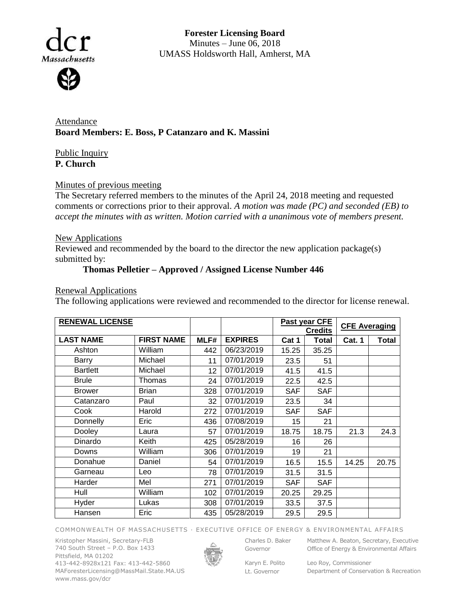

**Forester Licensing Board**  Minutes – June 06, 2018 UMASS Holdsworth Hall, Amherst, MA

Attendance **Board Members: E. Boss, P Catanzaro and K. Massini**

Public Inquiry **P. Church**

## Minutes of previous meeting

The Secretary referred members to the minutes of the April 24, 2018 meeting and requested comments or corrections prior to their approval. *A motion was made (PC) and seconded (EB) to accept the minutes with as written. Motion carried with a unanimous vote of members present.*

## **New Applications**

Reviewed and recommended by the board to the director the new application package(s) submitted by:

## **Thomas Pelletier – Approved / Assigned License Number 446**

Renewal Applications

The following applications were reviewed and recommended to the director for license renewal.

| <b>RENEWAL LICENSE</b> |                   |      |                | <b>Past year CFE</b> |              | <b>CFE Averaging</b> |              |
|------------------------|-------------------|------|----------------|----------------------|--------------|----------------------|--------------|
|                        |                   |      |                | <b>Credits</b>       |              |                      |              |
| <b>LAST NAME</b>       | <b>FIRST NAME</b> | MLF# | <b>EXPIRES</b> | Cat 1                | <b>Total</b> | <b>Cat. 1</b>        | <b>Total</b> |
| Ashton                 | William           | 442  | 06/23/2019     | 15.25                | 35.25        |                      |              |
| Barry                  | Michael           | 11   | 07/01/2019     | 23.5                 | 51           |                      |              |
| <b>Bartlett</b>        | Michael           | 12   | 07/01/2019     | 41.5                 | 41.5         |                      |              |
| <b>Brule</b>           | Thomas            | 24   | 07/01/2019     | 22.5                 | 42.5         |                      |              |
| <b>Brower</b>          | <b>Brian</b>      | 328  | 07/01/2019     | <b>SAF</b>           | <b>SAF</b>   |                      |              |
| Catanzaro              | Paul              | 32   | 07/01/2019     | 23.5                 | 34           |                      |              |
| Cook                   | Harold            | 272  | 07/01/2019     | <b>SAF</b>           | <b>SAF</b>   |                      |              |
| Donnelly               | Eric              | 436  | 07/08/2019     | 15                   | 21           |                      |              |
| Dooley                 | Laura             | 57   | 07/01/2019     | 18.75                | 18.75        | 21.3                 | 24.3         |
| Dinardo                | Keith             | 425  | 05/28/2019     | 16                   | 26           |                      |              |
| Downs                  | William           | 306  | 07/01/2019     | 19                   | 21           |                      |              |
| Donahue                | Daniel            | 54   | 07/01/2019     | 16.5                 | 15.5         | 14.25                | 20.75        |
| Garneau                | Leo               | 78   | 07/01/2019     | 31.5                 | 31.5         |                      |              |
| Harder                 | Mel               | 271  | 07/01/2019     | <b>SAF</b>           | <b>SAF</b>   |                      |              |
| Hull                   | William           | 102  | 07/01/2019     | 20.25                | 29.25        |                      |              |
| Hyder                  | Lukas             | 308  | 07/01/2019     | 33.5                 | 37.5         |                      |              |
| Hansen                 | Eric              | 435  | 05/28/2019     | 29.5                 | 29.5         |                      |              |

COMMONWEALTH OF MASSACHUSETTS · EXECUTIVE OFFICE OF ENERGY & ENVIRONMENTAL AFFAIRS

Kristopher Massini, Secretary-FLB 740 South Street – P.O. Box 1433 Pittsfield, MA 01202 413-442-8928x121 Fax: 413-442-5860 MAForesterLicensing@MassMail.State.MA.US www.mass.gov/dcr



Governor

Karyn E. Polito Lt. Governor

Charles D. Baker Matthew A. Beaton, Secretary, Executive Office of Energy & Environmental Affairs

> Leo Roy, Commissioner Department of Conservation & Recreation